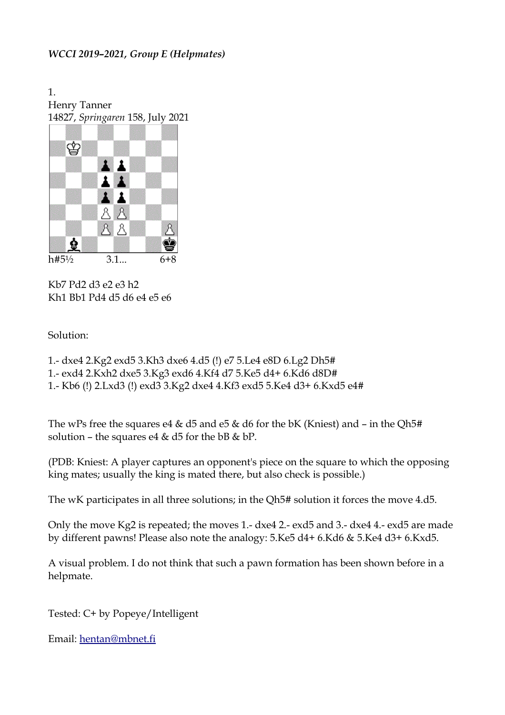## *WCCI 2019–2021, Group E (Helpmates)*

1. Henry Tanner 14827, *Springaren* 158, July 2021



Kb7 Pd2 d3 e2 e3 h2 Kh1 Bb1 Pd4 d5 d6 e4 e5 e6

## Solution:

- 1.- dxe4 2.Kg2 exd5 3.Kh3 dxe6 4.d5 (!) e7 5.Le4 e8D 6.Lg2 Dh5#
- 1.- exd4 2.Kxh2 dxe5 3.Kg3 exd6 4.Kf4 d7 5.Ke5 d4+ 6.Kd6 d8D#
- 1.- Kb6 (!) 2.Lxd3 (!) exd3 3.Kg2 dxe4 4.Kf3 exd5 5.Ke4 d3+ 6.Kxd5 e4#

The wPs free the squares e4 & d5 and e5 & d6 for the bK (Kniest) and – in the Qh5# solution – the squares e4 & d5 for the bB & bP.

(PDB: Kniest: A player captures an opponent's piece on the square to which the opposing king mates; usually the king is mated there, but also check is possible.)

The wK participates in all three solutions; in the Qh5# solution it forces the move 4.d5.

Only the move Kg2 is repeated; the moves 1.- dxe4 2.- exd5 and 3.- dxe4 4.- exd5 are made by different pawns! Please also note the analogy: 5.Ke5 d4+ 6.Kd6 & 5.Ke4 d3+ 6.Kxd5.

A visual problem. I do not think that such a pawn formation has been shown before in a helpmate.

Tested: C+ by Popeye/Intelligent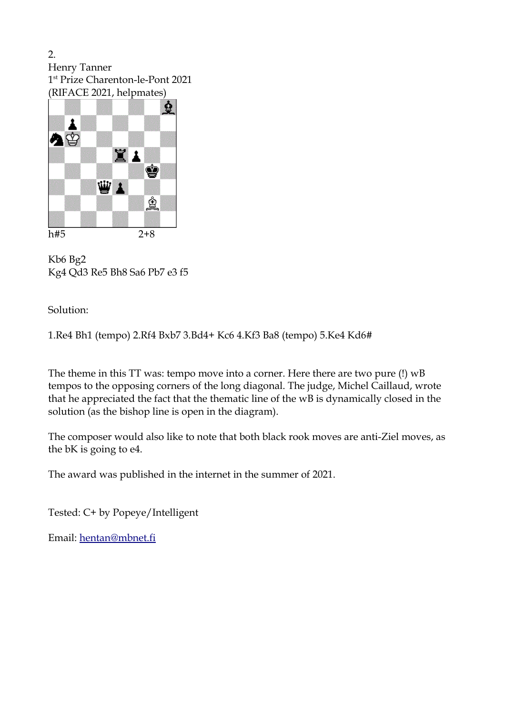2. Henry Tanner 1 st Prize Charenton-le-Pont 2021 (RIFACE 2021, helpmates)



Kb6 Bg2 Kg4 Qd3 Re5 Bh8 Sa6 Pb7 e3 f5

Solution:

1.Re4 Bh1 (tempo) 2.Rf4 Bxb7 3.Bd4+ Kc6 4.Kf3 Ba8 (tempo) 5.Ke4 Kd6#

The theme in this TT was: tempo move into a corner. Here there are two pure (!) wB tempos to the opposing corners of the long diagonal. The judge, Michel Caillaud, wrote that he appreciated the fact that the thematic line of the wB is dynamically closed in the solution (as the bishop line is open in the diagram).

The composer would also like to note that both black rook moves are anti-Ziel moves, as the bK is going to e4.

The award was published in the internet in the summer of 2021.

Tested: C+ by Popeye/Intelligent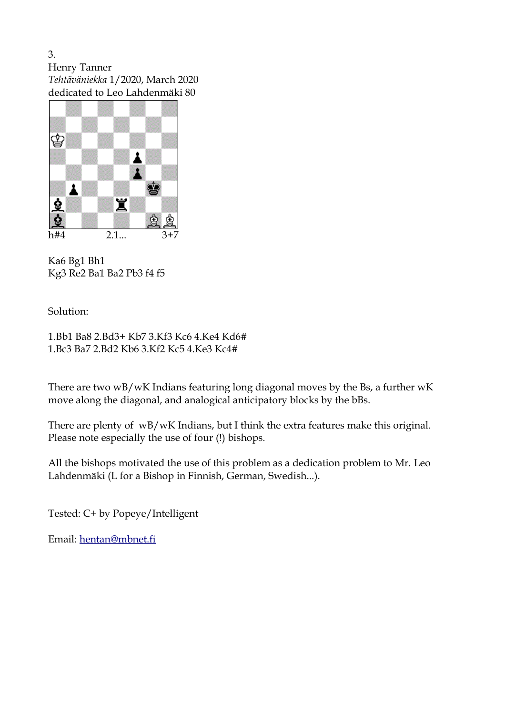3. Henry Tanner *Tehtäväniekka* 1/2020, March 2020 dedicated to Leo Lahdenmäki 80



Ka6 Bg1 Bh1 Kg3 Re2 Ba1 Ba2 Pb3 f4 f5

## Solution:

1.Bb1 Ba8 2.Bd3+ Kb7 3.Kf3 Kc6 4.Ke4 Kd6# 1.Bc3 Ba7 2.Bd2 Kb6 3.Kf2 Kc5 4.Ke3 Kc4#

There are two wB/wK Indians featuring long diagonal moves by the Bs, a further wK move along the diagonal, and analogical anticipatory blocks by the bBs.

There are plenty of wB/wK Indians, but I think the extra features make this original. Please note especially the use of four (!) bishops.

All the bishops motivated the use of this problem as a dedication problem to Mr. Leo Lahdenmäki (L for a Bishop in Finnish, German, Swedish...).

Tested: C+ by Popeye/Intelligent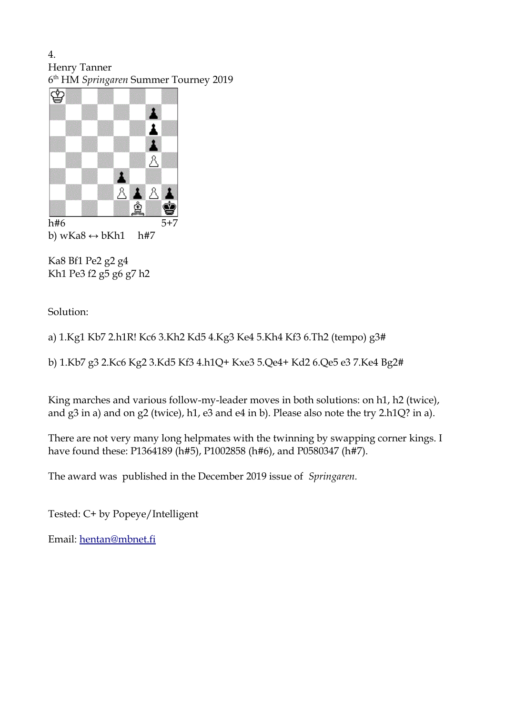4. Henry Tanner 6 th HM *Springaren* Summer Tourney 2019



b) wKa $8 \leftrightarrow b$ Kh1 h#7

Ka8 Bf1 Pe2 g2 g4 Kh1 Pe3 f2 g5 g6 g7 h2

Solution:

a) 1.Kg1 Kb7 2.h1R! Kc6 3.Kh2 Kd5 4.Kg3 Ke4 5.Kh4 Kf3 6.Th2 (tempo) g3#

b) 1.Kb7 g3 2.Kc6 Kg2 3.Kd5 Kf3 4.h1Q+ Kxe3 5.Qe4+ Kd2 6.Qe5 e3 7.Ke4 Bg2#

King marches and various follow-my-leader moves in both solutions: on h1, h2 (twice), and g3 in a) and on g2 (twice), h1, e3 and e4 in b). Please also note the try 2.h1Q? in a).

There are not very many long helpmates with the twinning by swapping corner kings. I have found these: P1364189 (h#5), P1002858 (h#6), and P0580347 (h#7).

The award was published in the December 2019 issue of *Springaren.*

Tested: C+ by Popeye/Intelligent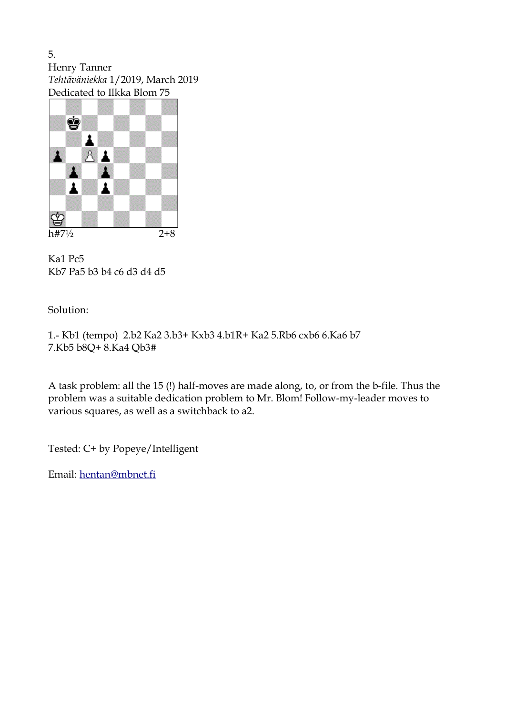5. Henry Tanner *Tehtäväniekka* 1/2019, March 2019 Dedicated to Ilkka Blom 75



Ka1 Pc5 Kb7 Pa5 b3 b4 c6 d3 d4 d5

## Solution:

1.- Kb1 (tempo) 2.b2 Ka2 3.b3+ Kxb3 4.b1R+ Ka2 5.Rb6 cxb6 6.Ka6 b7 7.Kb5 b8Q+ 8.Ka4 Qb3#

A task problem: all the 15 (!) half-moves are made along, to, or from the b-file. Thus the problem was a suitable dedication problem to Mr. Blom! Follow-my-leader moves to various squares, as well as a switchback to a2.

Tested: C+ by Popeye/Intelligent